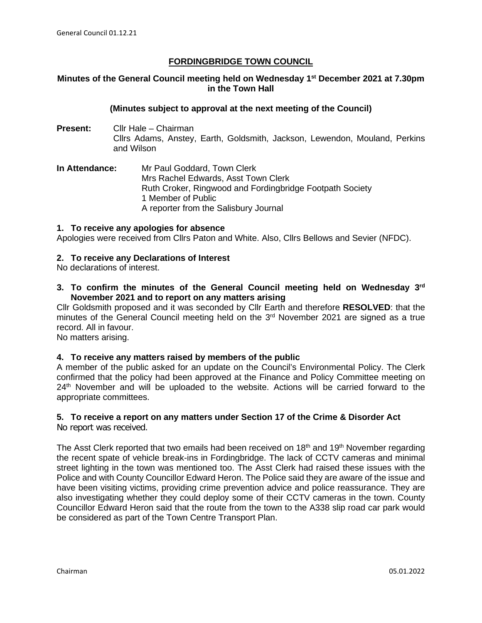# **FORDINGBRIDGE TOWN COUNCIL**

# **Minutes of the General Council meeting held on Wednesday 1st December 2021 at 7.30pm in the Town Hall**

### **(Minutes subject to approval at the next meeting of the Council)**

- **Present:** Cllr Hale Chairman Cllrs Adams, Anstey, Earth, Goldsmith, Jackson, Lewendon, Mouland, Perkins and Wilson
- **In Attendance:** Mr Paul Goddard, Town Clerk Mrs Rachel Edwards, Asst Town Clerk Ruth Croker, Ringwood and Fordingbridge Footpath Society 1 Member of Public A reporter from the Salisbury Journal

## **1. To receive any apologies for absence**

Apologies were received from Cllrs Paton and White. Also, Cllrs Bellows and Sevier (NFDC).

## **2. To receive any Declarations of Interest**

No declarations of interest.

**3. To confirm the minutes of the General Council meeting held on Wednesday 3rd November 2021 and to report on any matters arising**

Cllr Goldsmith proposed and it was seconded by Cllr Earth and therefore **RESOLVED**: that the minutes of the General Council meeting held on the 3<sup>rd</sup> November 2021 are signed as a true record. All in favour.

No matters arising.

#### **4. To receive any matters raised by members of the public**

A member of the public asked for an update on the Council's Environmental Policy. The Clerk confirmed that the policy had been approved at the Finance and Policy Committee meeting on 24<sup>th</sup> November and will be uploaded to the website. Actions will be carried forward to the appropriate committees.

# **5. To receive a report on any matters under Section 17 of the Crime & Disorder Act**

No report was received.

The Asst Clerk reported that two emails had been received on  $18<sup>th</sup>$  and  $19<sup>th</sup>$  November regarding the recent spate of vehicle break-ins in Fordingbridge. The lack of CCTV cameras and minimal street lighting in the town was mentioned too. The Asst Clerk had raised these issues with the Police and with County Councillor Edward Heron. The Police said they are aware of the issue and have been visiting victims, providing crime prevention advice and police reassurance. They are also investigating whether they could deploy some of their CCTV cameras in the town. County Councillor Edward Heron said that the route from the town to the A338 slip road car park would be considered as part of the Town Centre Transport Plan.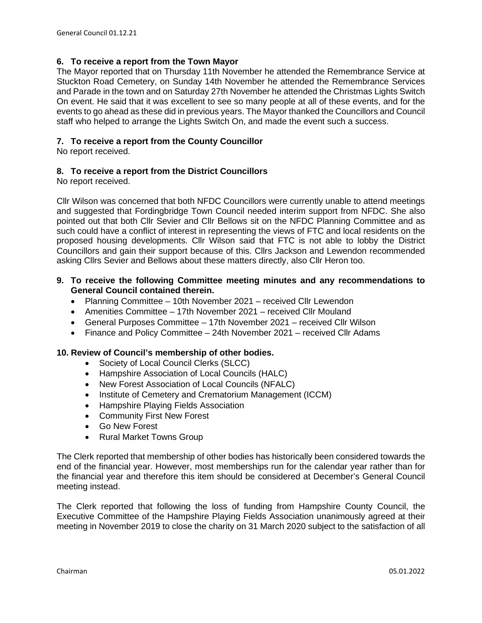# **6. To receive a report from the Town Mayor**

The Mayor reported that on Thursday 11th November he attended the Remembrance Service at Stuckton Road Cemetery, on Sunday 14th November he attended the Remembrance Services and Parade in the town and on Saturday 27th November he attended the Christmas Lights Switch On event. He said that it was excellent to see so many people at all of these events, and for the events to go ahead as these did in previous years. The Mayor thanked the Councillors and Council staff who helped to arrange the Lights Switch On, and made the event such a success.

# **7. To receive a report from the County Councillor**

No report received.

## **8. To receive a report from the District Councillors**

No report received.

Cllr Wilson was concerned that both NFDC Councillors were currently unable to attend meetings and suggested that Fordingbridge Town Council needed interim support from NFDC. She also pointed out that both Cllr Sevier and Cllr Bellows sit on the NFDC Planning Committee and as such could have a conflict of interest in representing the views of FTC and local residents on the proposed housing developments. Cllr Wilson said that FTC is not able to lobby the District Councillors and gain their support because of this. Cllrs Jackson and Lewendon recommended asking Cllrs Sevier and Bellows about these matters directly, also Cllr Heron too.

### **9. To receive the following Committee meeting minutes and any recommendations to General Council contained therein.**

- Planning Committee 10th November 2021 received Cllr Lewendon
- Amenities Committee 17th November 2021 received Cllr Mouland
- General Purposes Committee 17th November 2021 received Cllr Wilson
- Finance and Policy Committee 24th November 2021 received Cllr Adams

# **10. Review of Council's membership of other bodies.**

- Society of Local Council Clerks (SLCC)
- Hampshire Association of Local Councils (HALC)
- New Forest Association of Local Councils (NFALC)
- Institute of Cemetery and Crematorium Management (ICCM)
- Hampshire Playing Fields Association
- Community First New Forest
- Go New Forest
- Rural Market Towns Group

The Clerk reported that membership of other bodies has historically been considered towards the end of the financial year. However, most memberships run for the calendar year rather than for the financial year and therefore this item should be considered at December's General Council meeting instead.

The Clerk reported that following the loss of funding from Hampshire County Council, the Executive Committee of the Hampshire Playing Fields Association unanimously agreed at their meeting in November 2019 to close the charity on 31 March 2020 subject to the satisfaction of all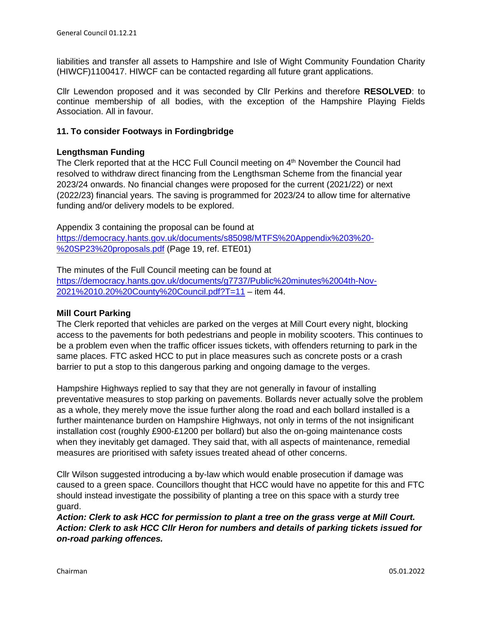liabilities and transfer all assets to Hampshire and Isle of Wight Community Foundation Charity (HIWCF)1100417. HIWCF can be contacted regarding all future grant applications.

Cllr Lewendon proposed and it was seconded by Cllr Perkins and therefore **RESOLVED**: to continue membership of all bodies, with the exception of the Hampshire Playing Fields Association. All in favour.

# **11. To consider Footways in Fordingbridge**

### **Lengthsman Funding**

The Clerk reported that at the HCC Full Council meeting on 4<sup>th</sup> November the Council had resolved to withdraw direct financing from the Lengthsman Scheme from the financial year 2023/24 onwards. No financial changes were proposed for the current (2021/22) or next (2022/23) financial years. The saving is programmed for 2023/24 to allow time for alternative funding and/or delivery models to be explored.

Appendix 3 containing the proposal can be found at [https://democracy.hants.gov.uk/documents/s85098/MTFS%20Appendix%203%20-](https://democracy.hants.gov.uk/documents/s85098/MTFS%20Appendix%203%20-%20SP23%20proposals.pdf) [%20SP23%20proposals.pdf](https://democracy.hants.gov.uk/documents/s85098/MTFS%20Appendix%203%20-%20SP23%20proposals.pdf) (Page 19, ref. ETE01)

The minutes of the Full Council meeting can be found at [https://democracy.hants.gov.uk/documents/g7737/Public%20minutes%2004th-Nov-](https://democracy.hants.gov.uk/documents/g7737/Public%20minutes%2004th-Nov-2021%2010.20%20County%20Council.pdf?T=11)[2021%2010.20%20County%20Council.pdf?T=11](https://democracy.hants.gov.uk/documents/g7737/Public%20minutes%2004th-Nov-2021%2010.20%20County%20Council.pdf?T=11) – item 44.

#### **Mill Court Parking**

The Clerk reported that vehicles are parked on the verges at Mill Court every night, blocking access to the pavements for both pedestrians and people in mobility scooters. This continues to be a problem even when the traffic officer issues tickets, with offenders returning to park in the same places. FTC asked HCC to put in place measures such as concrete posts or a crash barrier to put a stop to this dangerous parking and ongoing damage to the verges.

Hampshire Highways replied to say that they are not generally in favour of installing preventative measures to stop parking on pavements. Bollards never actually solve the problem as a whole, they merely move the issue further along the road and each bollard installed is a further maintenance burden on Hampshire Highways, not only in terms of the not insignificant installation cost (roughly £900-£1200 per bollard) but also the on-going maintenance costs when they inevitably get damaged. They said that, with all aspects of maintenance, remedial measures are prioritised with safety issues treated ahead of other concerns.

Cllr Wilson suggested introducing a by-law which would enable prosecution if damage was caused to a green space. Councillors thought that HCC would have no appetite for this and FTC should instead investigate the possibility of planting a tree on this space with a sturdy tree guard.

*Action: Clerk to ask HCC for permission to plant a tree on the grass verge at Mill Court. Action: Clerk to ask HCC Cllr Heron for numbers and details of parking tickets issued for on-road parking offences.*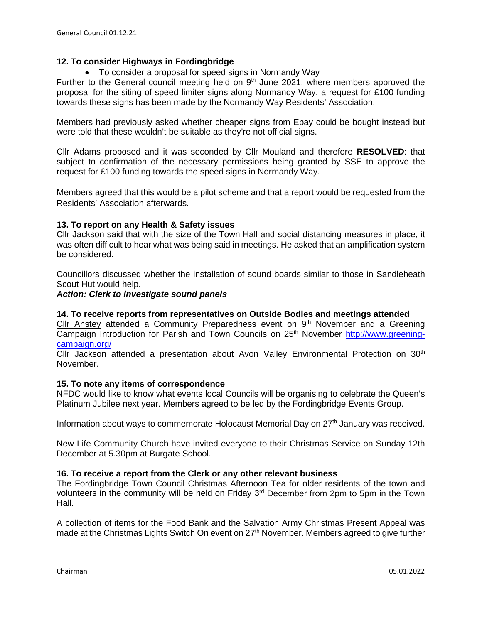# **12. To consider Highways in Fordingbridge**

• To consider a proposal for speed signs in Normandy Way

Further to the General council meeting held on  $9<sup>th</sup>$  June 2021, where members approved the proposal for the siting of speed limiter signs along Normandy Way, a request for £100 funding towards these signs has been made by the Normandy Way Residents' Association.

Members had previously asked whether cheaper signs from Ebay could be bought instead but were told that these wouldn't be suitable as they're not official signs.

Cllr Adams proposed and it was seconded by Cllr Mouland and therefore **RESOLVED**: that subject to confirmation of the necessary permissions being granted by SSE to approve the request for £100 funding towards the speed signs in Normandy Way.

Members agreed that this would be a pilot scheme and that a report would be requested from the Residents' Association afterwards.

## **13. To report on any Health & Safety issues**

Cllr Jackson said that with the size of the Town Hall and social distancing measures in place, it was often difficult to hear what was being said in meetings. He asked that an amplification system be considered.

Councillors discussed whether the installation of sound boards similar to those in Sandleheath Scout Hut would help.

#### *Action: Clerk to investigate sound panels*

### **14. To receive reports from representatives on Outside Bodies and meetings attended**

 $Clir$  Anstey attended a Community Preparedness event on  $9<sup>th</sup>$  November and a Greening Campaign Introduction for Parish and Town Councils on 25<sup>th</sup> November [http://www.greening](http://www.greening-campaign.org/)[campaign.org/](http://www.greening-campaign.org/) 

Cllr Jackson attended a presentation about Avon Valley Environmental Protection on 30<sup>th</sup> November.

#### **15. To note any items of correspondence**

NFDC would like to know what events local Councils will be organising to celebrate the Queen's Platinum Jubilee next year. Members agreed to be led by the Fordingbridge Events Group.

Information about ways to commemorate Holocaust Memorial Day on 27th January was received.

New Life Community Church have invited everyone to their Christmas Service on Sunday 12th December at 5.30pm at Burgate School.

#### **16. To receive a report from the Clerk or any other relevant business**

The Fordingbridge Town Council Christmas Afternoon Tea for older residents of the town and volunteers in the community will be held on Friday 3<sup>rd</sup> December from 2pm to 5pm in the Town Hall.

A collection of items for the Food Bank and the Salvation Army Christmas Present Appeal was made at the Christmas Lights Switch On event on 27<sup>th</sup> November. Members agreed to give further